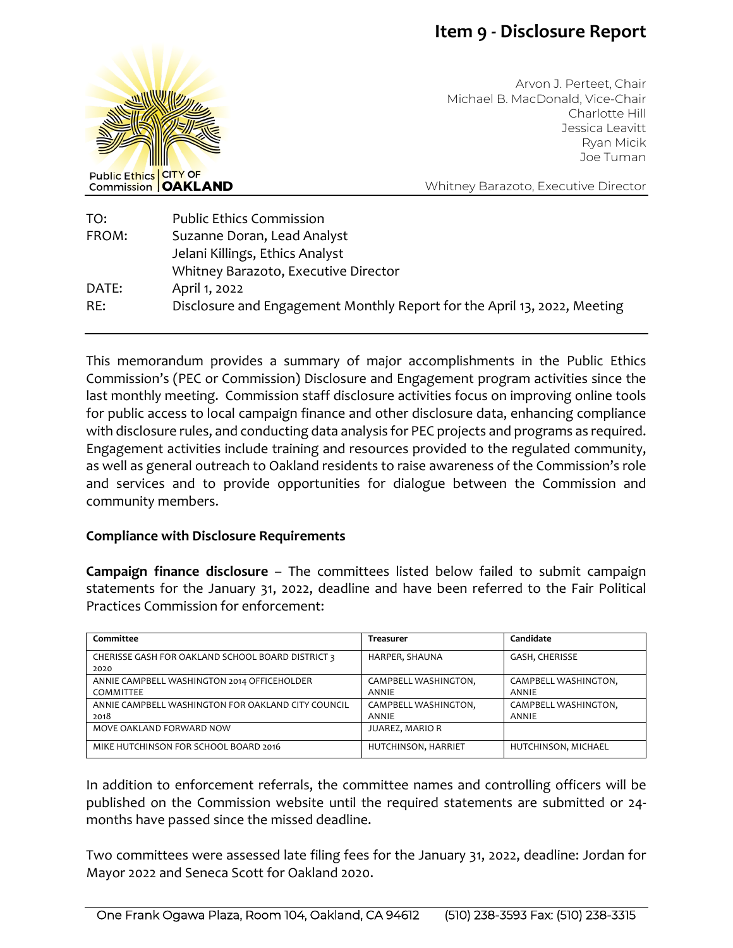## **Item 9 - Disclosure Report**



Arvon J. Perteet, Chair Michael B. MacDonald, Vice-Chair Charlotte Hill Jessica Leavitt Ryan Micik Joe Tuman

Whitney Barazoto, Executive Director

| TO:   | <b>Public Ethics Commission</b>                                          |
|-------|--------------------------------------------------------------------------|
| FROM: | Suzanne Doran, Lead Analyst                                              |
|       | Jelani Killings, Ethics Analyst                                          |
|       | Whitney Barazoto, Executive Director                                     |
| DATE: | April 1, 2022                                                            |
| RE:   | Disclosure and Engagement Monthly Report for the April 13, 2022, Meeting |
|       |                                                                          |

This memorandum provides a summary of major accomplishments in the Public Ethics Commission's (PEC or Commission) Disclosure and Engagement program activities since the last monthly meeting. Commission staff disclosure activities focus on improving online tools for public access to local campaign finance and other disclosure data, enhancing compliance with disclosure rules, and conducting data analysis for PEC projects and programs as required. Engagement activities include training and resources provided to the regulated community, as well as general outreach to Oakland residents to raise awareness of the Commission's role and services and to provide opportunities for dialogue between the Commission and community members.

## **Compliance with Disclosure Requirements**

**Campaign finance disclosure** – The committees listed below failed to submit campaign statements for the January 31, 2022, deadline and have been referred to the Fair Political Practices Commission for enforcement:

| Committee                                          | Treasurer            | Candidate            |
|----------------------------------------------------|----------------------|----------------------|
| CHERISSE GASH FOR OAKLAND SCHOOL BOARD DISTRICT 3  | HARPER, SHAUNA       | GASH, CHERISSE       |
| 2020                                               |                      |                      |
| ANNIE CAMPBELL WASHINGTON 2014 OFFICEHOLDER        | CAMPBELL WASHINGTON, | CAMPBELL WASHINGTON, |
| COMMITTEE                                          | <b>ANNIE</b>         | <b>ANNIE</b>         |
| ANNIE CAMPBELL WASHINGTON FOR OAKLAND CITY COUNCIL | CAMPBELL WASHINGTON, | CAMPBELL WASHINGTON, |
| 2018                                               | <b>ANNIE</b>         | ANNIE                |
| MOVE OAKLAND FORWARD NOW                           | JUAREZ, MARIO R      |                      |
| MIKE HUTCHINSON FOR SCHOOL BOARD 2016              | HUTCHINSON, HARRIET  | HUTCHINSON, MICHAEL  |

In addition to enforcement referrals, the committee names and controlling officers will be published on the Commission website until the required statements are submitted or 24 months have passed since the missed deadline.

Two committees were assessed late filing fees for the January 31, 2022, deadline: Jordan for Mayor 2022 and Seneca Scott for Oakland 2020.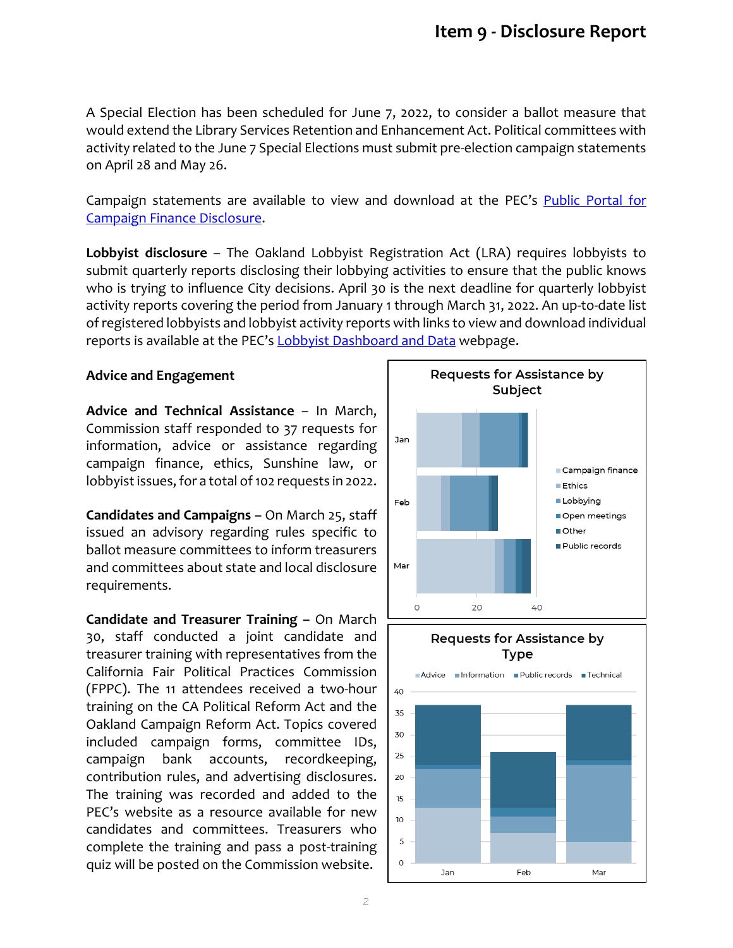A Special Election has been scheduled for June 7, 2022, to consider a ballot measure that would extend the Library Services Retention and Enhancement Act. Political committees with activity related to the June 7 Special Elections must submit pre-election campaign statements on April 28 and May 26.

Campaign statements are available to view and download at the PEC's Public Portal for [Campaign Finance Disclosure.](https://oaklandca-my.sharepoint.com/personal/sdoran_oaklandca_gov/Documents/Draft%20Memos/2022/Public%20Portal%20for%20Campaign%20Finance%20and%20Lobbyist%20Disclosure)

**Lobbyist disclosure** – The Oakland Lobbyist Registration Act (LRA) requires lobbyists to submit quarterly reports disclosing their lobbying activities to ensure that the public knows who is trying to influence City decisions. April 30 is the next deadline for quarterly lobbyist activity reports covering the period from January 1 through March 31, 2022. An up-to-date list of registered lobbyists and lobbyist activity reports with links to view and download individual reports is available at the PEC's **Lobbyist Dashboard and Data** webpage.

## **Advice and Engagement**

**Advice and Technical Assistance** – In March, Commission staff responded to 37 requests for information, advice or assistance regarding campaign finance, ethics, Sunshine law, or lobbyist issues, for a total of 102 requests in 2022.

**Candidates and Campaigns –** On March 25, staff issued an advisory regarding rules specific to ballot measure committees to inform treasurers and committees about state and local disclosure requirements.

**Candidate and Treasurer Training –** On March 30, staff conducted a joint candidate and treasurer training with representatives from the California Fair Political Practices Commission (FPPC). The 11 attendees received a two-hour training on the CA Political Reform Act and the Oakland Campaign Reform Act. Topics covered included campaign forms, committee IDs, campaign bank accounts, recordkeeping, contribution rules, and advertising disclosures. The training was recorded and added to the PEC's website as a resource available for new candidates and committees. Treasurers who complete the training and pass a post-training quiz will be posted on the Commission website.